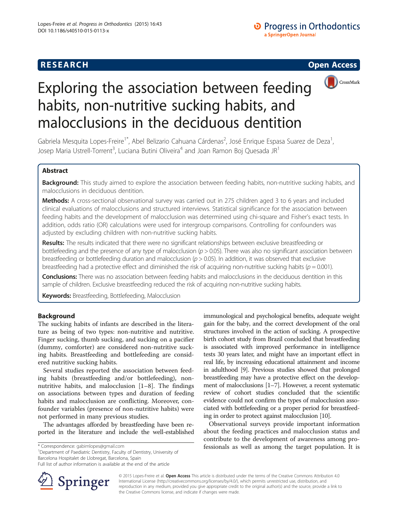



# Exploring the association between feeding habits, non-nutritive sucking habits, and malocclusions in the deciduous dentition

Gabriela Mesquita Lopes-Freire<sup>1\*</sup>, Abel Belizario Cahuana Cárdenas<sup>2</sup>, José Enrique Espasa Suarez de Deza<sup>1</sup> , Josep Maria Ustrell-Torrent $^3$ , Luciana Butini Oliveira $^4$  and Joan Ramon Boj Quesada JR $^1$ 

# Abstract

**Background:** This study aimed to explore the association between feeding habits, non-nutritive sucking habits, and malocclusions in deciduous dentition.

Methods: A cross-sectional observational survey was carried out in 275 children aged 3 to 6 years and included clinical evaluations of malocclusions and structured interviews. Statistical significance for the association between feeding habits and the development of malocclusion was determined using chi-square and Fisher's exact tests. In addition, odds ratio (OR) calculations were used for intergroup comparisons. Controlling for confounders was adjusted by excluding children with non-nutritive sucking habits.

Results: The results indicated that there were no significant relationships between exclusive breastfeeding or bottlefeeding and the presence of any type of malocclusion  $(p > 0.05)$ . There was also no significant association between breastfeeding or bottlefeeding duration and malocclusion ( $p > 0.05$ ). In addition, it was observed that exclusive breastfeeding had a protective effect and diminished the risk of acquiring non-nutritive sucking habits ( $p = 0.001$ ).

Conclusions: There was no association between feeding habits and malocclusions in the deciduous dentition in this sample of children. Exclusive breastfeeding reduced the risk of acquiring non-nutritive sucking habits.

Keywords: Breastfeeding, Bottlefeeding, Malocclusion

# Background

The sucking habits of infants are described in the literature as being of two types: non-nutritive and nutritive. Finger sucking, thumb sucking, and sucking on a pacifier (dummy, comforter) are considered non-nutritive sucking habits. Breastfeeding and bottlefeeding are considered nutritive sucking habits.

Several studies reported the association between feeding habits (breastfeeding and/or bottlefeeding), nonnutritive habits, and malocclusion [[1](#page-5-0)–[8](#page-5-0)]. The findings on associations between types and duration of feeding habits and malocclusion are conflicting. Moreover, confounder variables (presence of non-nutritive habits) were not performed in many previous studies.

The advantages afforded by breastfeeding have been reported in the literature and include the well-established

<sup>1</sup>Department of Paediatric Dentistry, Faculty of Dentistry, University of Barcelona Hospitalet de Llobregat, Barcelona, Spain



Observational surveys provide important information about the feeding practices and malocclusion status and contribute to the development of awareness among pro \* Correspondence: [gabimlopes@gmail.com](mailto:gabimlopes@gmail.com) **fessionals as well as among the target population.** It is



© 2015 Lopes-Freire et al. Open Access This article is distributed under the terms of the Creative Commons Attribution 4.0 International License ([http://creativecommons.org/licenses/by/4.0/\)](http://creativecommons.org/licenses/by/4.0/), which permits unrestricted use, distribution, and reproduction in any medium, provided you give appropriate credit to the original author(s) and the source, provide a link to the Creative Commons license, and indicate if changes were made.

Full list of author information is available at the end of the article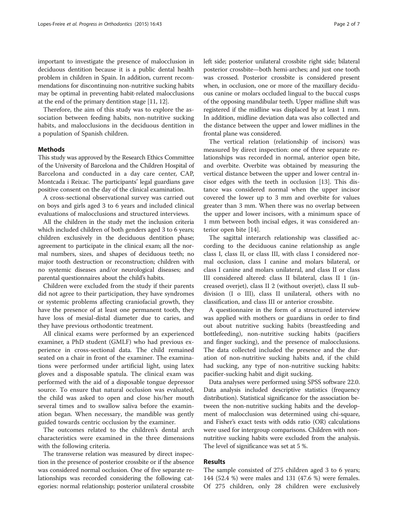important to investigate the presence of malocclusion in deciduous dentition because it is a public dental health problem in children in Spain. In addition, current recommendations for discontinuing non-nutritive sucking habits may be optimal in preventing habit-related malocclusions at the end of the primary dentition stage [[11](#page-5-0), [12\]](#page-5-0).

Therefore, the aim of this study was to explore the association between feeding habits, non-nutritive sucking habits, and malocclusions in the deciduous dentition in a population of Spanish children.

## Methods

This study was approved by the Research Ethics Committee of the University of Barcelona and the Children Hospital of Barcelona and conducted in a day care center, CAP, Montcada i Reixac. The participants' legal guardians gave positive consent on the day of the clinical examination.

A cross-sectional observational survey was carried out on boys and girls aged 3 to 6 years and included clinical evaluations of malocclusions and structured interviews.

All the children in the study met the inclusion criteria which included children of both genders aged 3 to 6 years; children exclusively in the deciduous dentition phase; agreement to participate in the clinical exam; all the normal numbers, sizes, and shapes of deciduous teeth; no major tooth destruction or reconstruction; children with no systemic diseases and/or neurological diseases; and parental questionnaires about the child's habits.

Children were excluded from the study if their parents did not agree to their participation, they have syndromes or systemic problems affecting craniofacial growth, they have the presence of at least one permanent tooth, they have loss of mesial-distal diameter due to caries, and they have previous orthodontic treatment.

All clinical exams were performed by an experienced examiner, a PhD student (GMLF) who had previous experience in cross-sectional data. The child remained seated on a chair in front of the examiner. The examinations were performed under artificial light, using latex gloves and a disposable spatula. The clinical exam was performed with the aid of a disposable tongue depressor source. To ensure that natural occlusion was evaluated, the child was asked to open and close his/her mouth several times and to swallow saliva before the examination began. When necessary, the mandible was gently guided towards centric occlusion by the examiner.

The outcomes related to the children's dental arch characteristics were examined in the three dimensions with the following criteria.

The transverse relation was measured by direct inspection in the presence of posterior crossbite or if the absence was considered normal occlusion. One of five separate relationships was recorded considering the following categories: normal relationship; posterior unilateral crossbite left side; posterior unilateral crossbite right side; bilateral posterior crossbite—both hemi-arches; and just one tooth was crossed. Posterior crossbite is considered present when, in occlusion, one or more of the maxillary deciduous canine or molars occluded lingual to the buccal cusps of the opposing mandibular teeth. Upper midline shift was registered if the midline was displaced by at least 1 mm. In addition, midline deviation data was also collected and the distance between the upper and lower midlines in the frontal plane was considered.

The vertical relation (relationship of incisors) was measured by direct inspection: one of three separate relationships was recorded in normal, anterior open bite, and overbite. Overbite was obtained by measuring the vertical distance between the upper and lower central incisor edges with the teeth in occlusion [[13\]](#page-5-0). This distance was considered normal when the upper incisor covered the lower up to 3 mm and overbite for values greater than 3 mm. When there was no overlap between the upper and lower incisors, with a minimum space of 1 mm between both incisal edges, it was considered anterior open bite [[14](#page-5-0)].

The sagittal interarch relationship was classified according to the deciduous canine relationship as angle class I, class II, or class III, with class I considered normal occlusion, class I canine and molars bilateral, or class I canine and molars unilateral, and class II or class III considered altered: class II bilateral, class II 1 (increased overjet), class II 2 (without overjet), class II subdivision (I o III), class II unilateral, others with no classification, and class III or anterior crossbite.

A questionnaire in the form of a structured interview was applied with mothers or guardians in order to find out about nutritive sucking habits (breastfeeding and bottlefeeding), non-nutritive sucking habits (pacifiers and finger sucking), and the presence of malocclusions. The data collected included the presence and the duration of non-nutritive sucking habits and, if the child had sucking, any type of non-nutritive sucking habits: pacifier-sucking habit and digit sucking.

Data analyses were performed using SPSS software 22.0. Data analysis included descriptive statistics (frequency distribution). Statistical significance for the association between the non-nutritive sucking habits and the development of malocclusion was determined using chi-square, and Fisher's exact tests with odds ratio (OR) calculations were used for intergroup comparisons. Children with nonnutritive sucking habits were excluded from the analysis. The level of significance was set at 5 %.

#### Results

The sample consisted of 275 children aged 3 to 6 years; 144 (52.4 %) were males and 131 (47.6 %) were females. Of 275 children, only 28 children were exclusively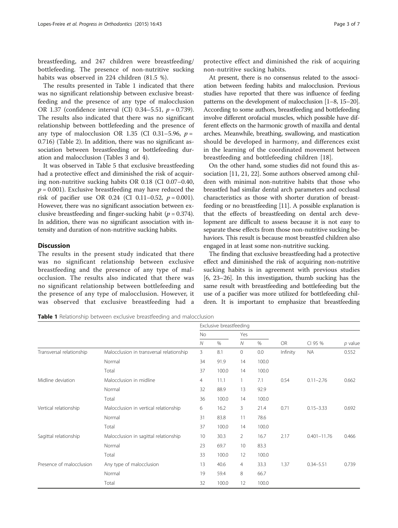breastfeeding, and 247 children were breastfeeding/ bottlefeeding. The presence of non-nutritive sucking habits was observed in 224 children (81.5 %).

The results presented in Table 1 indicated that there was no significant relationship between exclusive breastfeeding and the presence of any type of malocclusion OR 1.37 (confidence interval (CI) 0.34–5.51,  $p = 0.739$ ). The results also indicated that there was no significant relationship between bottlefeeding and the presence of any type of malocclusion OR 1.35 (CI 0.31–5.96,  $p =$ 0.716) (Table [2](#page-3-0)). In addition, there was no significant association between breastfeeding or bottlefeeding duration and malocclusion (Tables [3](#page-3-0) and [4\)](#page-4-0).

It was observed in Table [5](#page-4-0) that exclusive breastfeeding had a protective effect and diminished the risk of acquiring non-nutritive sucking habits OR 0.18 (CI 0.07–0.40,  $p = 0.001$ ). Exclusive breastfeeding may have reduced the risk of pacifier use OR 0.24 (CI 0.11–0.52,  $p = 0.001$ ). However, there was no significant association between exclusive breastfeeding and finger-sucking habit ( $p = 0.374$ ). In addition, there was no significant association with intensity and duration of non-nutritive sucking habits.

# **Discussion**

The results in the present study indicated that there was no significant relationship between exclusive breastfeeding and the presence of any type of malocclusion. The results also indicated that there was no significant relationship between bottlefeeding and the presence of any type of malocclusion. However, it was observed that exclusive breastfeeding had a

protective effect and diminished the risk of acquiring non-nutritive sucking habits.

At present, there is no consensus related to the association between feeding habits and malocclusion. Previous studies have reported that there was influence of feeding patterns on the development of malocclusion [[1](#page-5-0)–[8, 15](#page-5-0)–[20](#page-5-0)]. According to some authors, breastfeeding and bottlefeeding involve different orofacial muscles, which possible have different effects on the harmonic growth of maxilla and dental arches. Meanwhile, breathing, swallowing, and mastication should be developed in harmony, and differences exist in the learning of the coordinated movement between breastfeeding and bottlefeeding children [[18\]](#page-5-0).

On the other hand, some studies did not found this association [\[11](#page-5-0), [21, 22](#page-5-0)]. Some authors observed among children with minimal non-nutritive habits that those who breastfed had similar dental arch parameters and occlusal characteristics as those with shorter duration of breastfeeding or no breastfeeding [[11](#page-5-0)]. A possible explanation is that the effects of breastfeeding on dental arch development are difficult to assess because it is not easy to separate these effects from those non-nutritive sucking behaviors. This result is because most breastfed children also engaged in at least some non-nutritive sucking.

The finding that exclusive breastfeeding had a protective effect and diminished the risk of acquiring non-nutritive sucking habits is in agreement with previous studies [[6, 23](#page-5-0)–[26](#page-6-0)]. In this investigation, thumb sucking has the same result with breastfeeding and bottlefeeding but the use of a pacifier was more utilized for bottlefeeding children. It is important to emphasize that breastfeeding

Table 1 Relationship between exclusive breastfeeding and malocclusion

|                          |                                          | Exclusive breastfeeding |       |                |       |           |                 |           |
|--------------------------|------------------------------------------|-------------------------|-------|----------------|-------|-----------|-----------------|-----------|
|                          |                                          | No                      |       | Yes            |       |           |                 |           |
|                          |                                          | $\mathcal N$            | $\%$  | $\mathcal N$   | $\%$  | <b>OR</b> | CI 95 %         | $p$ value |
| Transversal relationship | Malocclusion in transversal relationship | 3                       | 8.1   | 0              | 0.0   | Infinity  | <b>NA</b>       | 0.552     |
|                          | Normal                                   | 34                      | 91.9  | 14             | 100.0 |           |                 |           |
|                          | Total                                    | 37                      | 100.0 | 14             | 100.0 |           |                 |           |
| Midline deviation        | Malocclusion in midline                  | $\overline{4}$          | 11.1  | 1              | 7.1   | 0.54      | $0.11 - 2.76$   | 0.662     |
|                          | Normal                                   | 32                      | 88.9  | 13             | 92.9  |           |                 |           |
|                          | Total                                    | 36                      | 100.0 | 14             | 100.0 |           |                 |           |
| Vertical relationship    | Malocclusion in vertical relationship    | 6                       | 16.2  | 3              | 21.4  | 0.71      | $0.15 - 3.33$   | 0.692     |
|                          | Normal                                   | 31                      | 83.8  | 11             | 78.6  |           |                 |           |
|                          | Total                                    | 37                      | 100.0 | 14             | 100.0 |           |                 |           |
| Sagittal relationship    | Malocclusion in sagittal relationship    | 10                      | 30.3  | $\overline{2}$ | 16.7  | 2.17      | $0.401 - 11.76$ | 0.466     |
|                          | Normal                                   | 23                      | 69.7  | 10             | 83.3  |           |                 |           |
|                          | Total                                    | 33                      | 100.0 | 12             | 100.0 |           |                 |           |
| Presence of malocclusion | Any type of malocclusion                 | 13                      | 40.6  | $\overline{4}$ | 33.3  | 1.37      | $0.34 - 5.51$   | 0.739     |
|                          | Normal                                   | 19                      | 59.4  | 8              | 66.7  |           |                 |           |
|                          | Total                                    | 32                      | 100.0 | 12             | 100.0 |           |                 |           |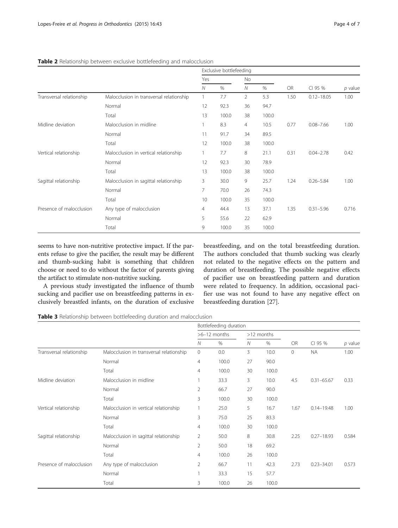|                          |                                            | Exclusive bottlefeeding |       |                |       |           |                |           |  |
|--------------------------|--------------------------------------------|-------------------------|-------|----------------|-------|-----------|----------------|-----------|--|
|                          |                                            | Yes                     |       | No             |       |           |                |           |  |
|                          |                                            | $\mathcal N$            | %     | $\mathcal N$   | $\%$  | <b>OR</b> | CI 95 %        | $p$ value |  |
| Transversal relationship | Malocclusion in transversal relationship   |                         | 7.7   | $\overline{2}$ | 5.3   | 1.50      | $0.12 - 18.05$ | 1.00      |  |
|                          | Normal                                     | 12                      | 92.3  | 36             | 94.7  |           |                |           |  |
|                          | Total                                      | 13                      | 100.0 | 38             | 100.0 |           |                |           |  |
| Midline deviation        | Malocclusion in midline<br>Normal<br>Total |                         | 8.3   | $\overline{4}$ | 10.5  | 0.77      | $0.08 - 7.66$  | 1.00      |  |
|                          |                                            |                         | 91.7  | 34             | 89.5  |           |                |           |  |
|                          |                                            |                         | 100.0 | 38             | 100.0 |           |                |           |  |
| Vertical relationship    | Malocclusion in vertical relationship      |                         | 7.7   | 8              | 21.1  | 0.31      | $0.04 - 2.78$  | 0.42      |  |
|                          | Normal                                     | 12                      | 92.3  | 30             | 78.9  |           |                |           |  |
|                          | Total                                      |                         | 100.0 | 38             | 100.0 |           |                |           |  |
| Sagittal relationship    | Malocclusion in sagittal relationship      |                         | 30.0  | 9              | 25.7  | 1.24      | $0.26 - 5.84$  | 1.00      |  |
|                          | Normal                                     | $\overline{7}$<br>70.0  |       | 26             | 74.3  |           |                |           |  |
|                          | Total                                      | 10                      | 100.0 | 35             | 100.0 |           |                |           |  |
| Presence of malocclusion | Any type of malocclusion                   | 4                       | 44.4  | 13             | 37.1  | 1.35      | $0.31 - 5.96$  | 0.716     |  |
|                          | Normal                                     | 5                       | 55.6  | 22             | 62.9  |           |                |           |  |
|                          | Total                                      | 9                       | 100.0 | 35             | 100.0 |           |                |           |  |

#### <span id="page-3-0"></span>Table 2 Relationship between exclusive bottlefeeding and malocclusion

seems to have non-nutritive protective impact. If the parents refuse to give the pacifier, the result may be different and thumb-sucking habit is something that children choose or need to do without the factor of parents giving the artifact to stimulate non-nutritive sucking.

A previous study investigated the influence of thumb sucking and pacifier use on breastfeeding patterns in exclusively breastfed infants, on the duration of exclusive breastfeeding, and on the total breastfeeding duration. The authors concluded that thumb sucking was clearly not related to the negative effects on the pattern and duration of breastfeeding. The possible negative effects of pacifier use on breastfeeding pattern and duration were related to frequency. In addition, occasional pacifier use was not found to have any negative effect on breastfeeding duration [[27\]](#page-6-0).

Table 3 Relationship between bottlefeeding duration and malocclusion

|                          |                                          | Bottlefeeding duration |       |            |       |           |                |           |  |
|--------------------------|------------------------------------------|------------------------|-------|------------|-------|-----------|----------------|-----------|--|
|                          |                                          | $>6-12$ months         |       | >12 months |       |           |                |           |  |
|                          |                                          | Ν                      | %     | N          | %     | <b>OR</b> | CI 95 %        | $p$ value |  |
| Transversal relationship | Malocclusion in transversal relationship | $\mathbf{0}$           | 0.0   | 3          | 10.0  | 0         | <b>NA</b>      | 1.00      |  |
|                          | Normal                                   | 4                      | 100.0 | 27         | 90.0  |           |                |           |  |
|                          | Total                                    | 4                      | 100.0 | 30         | 100.0 |           |                |           |  |
| Midline deviation        | Malocclusion in midline                  |                        | 33.3  | 3          | 10.0  | 4.5       | $0.31 - 65.67$ | 0.33      |  |
|                          | Normal                                   | 2                      | 66.7  | 27         | 90.0  |           |                |           |  |
|                          | Total                                    | 3                      | 100.0 | 30         | 100.0 |           |                |           |  |
| Vertical relationship    | Malocclusion in vertical relationship    |                        | 25.0  | 5          | 16.7  | 1.67      | $0.14 - 19.48$ | 1.00      |  |
|                          | Normal                                   | 3                      | 75.0  | 25         | 83.3  |           |                |           |  |
|                          | Total                                    | 4                      | 100.0 | 30         | 100.0 |           |                |           |  |
| Sagittal relationship    | Malocclusion in sagittal relationship    | $\overline{2}$         | 50.0  | 8          | 30.8  | 2.25      | $0.27 - 18.93$ | 0.584     |  |
|                          | Normal                                   | $\overline{2}$         | 50.0  | 18         | 69.2  |           |                |           |  |
|                          | Total                                    | $\overline{4}$         | 100.0 | 26         | 100.0 |           |                |           |  |
| Presence of malocclusion | Any type of malocclusion                 | 2                      | 66.7  | 11         | 42.3  | 2.73      | $0.23 - 34.01$ | 0.573     |  |
|                          | Normal                                   |                        | 33.3  | 15         | 57.7  |           |                |           |  |
|                          | Total                                    | 3                      | 100.0 | 26         | 100.0 |           |                |           |  |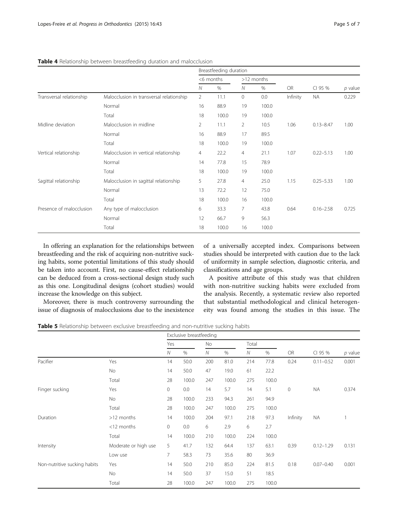|                          |                                          | Breastfeeding duration |       |              |       |          |               |           |
|--------------------------|------------------------------------------|------------------------|-------|--------------|-------|----------|---------------|-----------|
|                          |                                          | <6 months              |       | >12 months   |       |          |               |           |
|                          |                                          | $\mathcal N$           | $\%$  | $\mathcal N$ | %     | OR       | CI 95 %       | $p$ value |
| Transversal relationship | Malocclusion in transversal relationship | $\overline{2}$         | 11.1  | $\mathbf{0}$ | 0.0   | Infinity | <b>NA</b>     | 0.229     |
|                          | Normal                                   | 16                     | 88.9  | 19           | 100.0 |          |               |           |
|                          | Total                                    | 18                     | 100.0 | 19           | 100.0 |          |               |           |
| Midline deviation        | Malocclusion in midline                  |                        | 11.1  | 2            | 10.5  | 1.06     | $0.13 - 8.47$ | 1.00      |
|                          | Normal                                   | 16                     | 88.9  | 17           | 89.5  |          |               |           |
|                          | Total                                    | 18                     | 100.0 | 19           | 100.0 |          |               |           |
| Vertical relationship    | Malocclusion in vertical relationship    | 4                      | 22.2  | 4            | 21.1  | 1.07     | $0.22 - 5.13$ | 1.00      |
|                          | Normal                                   | 14                     | 77.8  | 15           | 78.9  |          |               |           |
|                          | Total                                    | 18                     | 100.0 | 19           | 100.0 |          |               |           |
| Sagittal relationship    | Malocclusion in sagittal relationship    | 5                      | 27.8  | 4            | 25.0  | 1.15     | $0.25 - 5.33$ | 1.00      |
|                          | Normal                                   | 13                     | 72.2  | 12           | 75.0  |          |               |           |
|                          | Total                                    | 18                     | 100.0 | 16           | 100.0 |          |               |           |
| Presence of malocclusion | Any type of malocclusion                 | 6                      | 33.3  | 7            | 43.8  | 0.64     | $0.16 - 2.58$ | 0.725     |
|                          | Normal                                   | 12                     | 66.7  | 9            | 56.3  |          |               |           |
|                          | Total                                    | 18                     | 100.0 | 16           | 100.0 |          |               |           |

<span id="page-4-0"></span>Table 4 Relationship between breastfeeding duration and malocclusion

In offering an explanation for the relationships between breastfeeding and the risk of acquiring non-nutritive sucking habits, some potential limitations of this study should be taken into account. First, no cause-effect relationship can be deduced from a cross-sectional design study such as this one. Longitudinal designs (cohort studies) would increase the knowledge on this subject.

Moreover, there is much controversy surrounding the

of a universally accepted index. Comparisons between studies should be interpreted with caution due to the lack of uniformity in sample selection, diagnostic criteria, and classifications and age groups.

A positive attribute of this study was that children with non-nutritive sucking habits were excluded from the analysis. Recently, a systematic review also reported that substantial methodological and clinical heterogeneity was found among the studies in this issue. The

issue of diagnosis of malocclusions due to the inexistence

| <b>Table 5</b> Relationship between exclusive breastfeeding and non-nutritive sucking habits |  |  |
|----------------------------------------------------------------------------------------------|--|--|
|----------------------------------------------------------------------------------------------|--|--|

|                              |                      | Exclusive breastfeeding |       |                |       |              |       |          |               |           |  |
|------------------------------|----------------------|-------------------------|-------|----------------|-------|--------------|-------|----------|---------------|-----------|--|
|                              |                      | Yes                     |       | No             |       | Total        |       |          |               |           |  |
|                              |                      | $\mathcal N$            | $\%$  | $\overline{N}$ | $\%$  | $\mathcal N$ | $\%$  | OR       | CI 95 %       | $p$ value |  |
| Pacifier                     | Yes                  | 14                      | 50.0  | 200            | 81.0  | 214          | 77.8  | 0.24     | $0.11 - 0.52$ | 0.001     |  |
|                              | No                   | 14                      | 50.0  | 47             | 19.0  | 61           | 22.2  |          |               |           |  |
|                              | Total                | 28                      | 100.0 | 247            | 100.0 | 275          | 100.0 |          |               |           |  |
| Finger sucking               | Yes                  | 0                       | 0.0   | 14             | 5.7   | 14           | 5.1   | $\circ$  | <b>NA</b>     | 0.374     |  |
|                              | <b>No</b>            | 28                      | 100.0 | 233            | 94.3  | 261          | 94.9  |          |               |           |  |
|                              | Total                | 28                      | 100.0 | 247            | 100.0 | 275          | 100.0 |          |               |           |  |
| Duration                     | >12 months           | 14                      | 100.0 | 204            | 97.1  | 218          | 97.3  | Infinity | <b>NA</b>     |           |  |
|                              | <12 months           | $\mathbf 0$             | 0.0   | 6              | 2.9   | 6            | 2.7   |          |               |           |  |
|                              | Total                | 14                      | 100.0 | 210            | 100.0 | 224          | 100.0 |          |               |           |  |
| Intensity                    | Moderate or high use | 5                       | 41.7  | 132            | 64.4  | 137          | 63.1  | 0.39     | $0.12 - 1.29$ | 0.131     |  |
|                              | Low use              | $\overline{7}$          | 58.3  | 73             | 35.6  | 80           | 36.9  |          |               |           |  |
| Non-nutritive sucking habits | Yes                  | 14                      | 50.0  | 210            | 85.0  | 224          | 81.5  | 0.18     | $0.07 - 0.40$ | 0.001     |  |
|                              | <b>No</b>            | 14                      | 50.0  | 37             | 15.0  | 51           | 18.5  |          |               |           |  |
|                              | Total                | 28                      | 100.0 | 247            | 100.0 | 275          | 100.0 |          |               |           |  |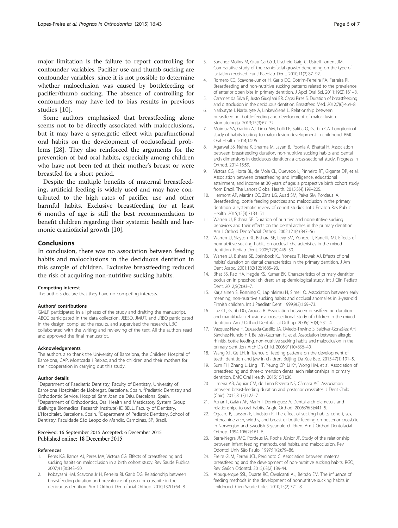<span id="page-5-0"></span>major limitation is the failure to report controlling for confounder variables. Pacifier use and thumb sucking are confounder variables, since it is not possible to determine whether malocclusion was caused by bottlefeeding or pacifier/thumb sucking. The absence of controlling for confounders may have led to bias results in previous studies [10].

Some authors emphasized that breastfeeding alone seems not to be directly associated with malocclusions, but it may have a synergetic effect with parafunctional oral habits on the development of occlusofacial problems [[28](#page-6-0)]. They also reinforced the arguments for the prevention of bad oral habits, especially among children who have not been fed at their mother's breast or were breastfed for a short period.

Despite the multiple benefits of maternal breastfeeding, artificial feeding is widely used and may have contributed to the high rates of pacifier use and other harmful habits. Exclusive breastfeeding for at least 6 months of age is still the best recommendation to benefit children regarding their systemic health and harmonic craniofacial growth [10].

## Conclusions

In conclusion, there was no association between feeding habits and malocclusions in the deciduous dentition in this sample of children. Exclusive breastfeeding reduced the risk of acquiring non-nutritive sucking habits.

#### Competing interest

The authors declare that they have no competing interests.

#### Authors' contributions

GMLF participated in all phases of the study and drafting the manuscript. ABCC participated in the data collection. JEESD, JMUT, and JRBQ participated in the design, compiled the results, and supervised the research. LBO collaborated with the writing and reviewing of the text. All the authors read and approved the final manuscript.

#### Acknowledgements

The authors also thank the University of Barcelona, the Children Hospital of Barcelona, CAP, Montcada i Reixac, and the children and their mothers for their cooperation in carrying out this study.

#### Author details

<sup>1</sup>Department of Paediatric Dentistry, Faculty of Dentistry, University of Barcelona Hospitalet de Llobregat, Barcelona, Spain. <sup>2</sup> Pediatric Dentistry and Orthodontic Service, Hospital Sant Joan de Déu, Barcelona, Spain. <sup>3</sup>Department of Orthodontics, Oral Health and Masticatory System Group (Bellvitge Biomedical Research Institute) IDIBELL, Faculty of Dentistry, L'Hospitalet, Barcelona, Spain. <sup>4</sup>Department of Pediatric Dentistry, School of Dentistry, Faculdade São Leopoldo Mandic, Campinas, SP, Brazil.

#### Received: 16 September 2015 Accepted: 6 December 2015 Published online: 18 December 2015

#### References

- Peres KG, Barros AJ, Peres MA, Victora CG. Effects of breastfeeding and sucking habits on malocclusion in a birth cohort study. Rev Saude Publica. 2007;41(3):343–50.
- 2. Kobayashi HM, Scavone Jr H, Ferreira RI, Garib DG. Relationship between breastfeeding duration and prevalence of posterior crossbite in the deciduous dentition. Am J Orthod Dentofacial Orthop. 2010;137(1):54–8.
- 3. Sanchez-Molins M, Grau Carbó J, Lischeid Gaig C, Ustrell Torrent JM. Comparative study of the craniofacial growth depending on the type of lactation received. Eur J Paediatr Dent. 2010;11(2):87–92.
- 4. Romero CC, Scavone-Junior H, Garib DG, Cotrim-Ferreira FA, Ferreira RI. Breastfeeding and non-nutritive sucking patterns related to the prevalence of anterior open bite in primary dentition. J Appl Oral Sci. 2011;19(2):161–8.
- 5. Caramez da Silva F, Justo Giugliani ER, Capsi Pires S. Duration of breastfeeding and distoclusion in the deciduous dentition. Breastfeed Med. 2012;7(6):464–8.
- 6. Narbutyte I, Narbutyte A, Linkevičienė L. Relationship between breastfeeding, bottle-feeding and development of malocclusion. Stomatologija. 2013;15(3):67–72.
- 7. Moimaz SA, Garbin AJ, Lima AM, Lolli LF, Saliba O, Garbin CA. Longitudinal study of habits leading to malocclusion development in childhood. BMC Oral Health. 2014;14:96.
- 8. Agarwal SS, Nehra K, Sharma M, Jayan B, Poonia A, Bhattal H. Association between breastfeeding duration, non-nutritive sucking habits and dental arch dimensions in deciduous dentition: a cross-sectional study. Progress in Orthod. 2014;15:59.
- 9. Victora CG, Horta BL, de Mola CL, Quevedo L, Pinheiro RT, Gigante DP, et al. Association between breastfeeding and intelligence, educational attainment, and income at 30 years of age: a prospective birth cohort study from Brazil. The Lancet Global Health. 2015;3(4):199–205.
- 10. Hermont AP, Martins CC, Zina LG, Auad SM, Paiva SM, Pordeus IA. Breastfeeding, bottle feeding practices and malocclusion in the primary dentition: a systematic review of cohort studies. Int J Environ Res Public Health. 2015;12(3):3133–51.
- 11. Warren JJ, Bishara SE. Duration of nutritive and nonnutritive sucking behaviors and their effects on the dental arches in the primary dentition. Am J Orthod Dentofacial Orthop. 2002;121(4):347–56.
- 12. Warren JJ, Slayton RL, Bishara SE, Levy SM, Yonezu T, Kanellis MJ. Effects of nonnutritive sucking habits on occlusal characteristics in the mixed dentition. Pediatr Dent. 2005;27(6):445–50.
- 13. Warren JJ, Bishara SE, Steinbock KL, Yonezu T, Nowak AJ. Effects of oral habits' duration on dental characteristics in the primary dentition. J Am Dent Assoc. 2001;132(12):1685–93.
- 14. Bhat SS, Rao HA, Hegde KS, Kumar BK. Characteristics of primary dentition occlusion in preschool children: an epidemiological study. Int J Clin Pediatr Dent. 2012;5(2):93–7.
- 15. Karjalainen S, Rönning O, Lapinleimu H, Simell O. Association between early meaning, non-nutritive sucking habits and occlusal anomalies in 3-year-old Finnish children. Int J Paediatr Dent. 1999;9(3):169–73.
- 16. Luz CL, Garib DG, Arouca R. Association between breastfeeding duration and mandibular retrusion: a cross-sectional study of children in the mixed dentition. Am J Orthod Dentofacial Orthop. 2006;130(4):531–4.
- 17. Vázquez-Nava F, Quezada-Castillo JA, Oviedo-Trevino S, Saldivar-González AH, Sánchez-Nuncio HR, Beltrán-Guzmán FJ, et al. Association between allergic rhinitis, bottle feeding, non-nutritive sucking habits and malocclusion in the primary dentition. Arch Dis Child. 2006;91(10):836–40.
- 18. Wang XT, Ge LH. Influence of feeding patterns on the development of teeth, dentition and jaw in children. Beijing Da Xue Bao. 2015;47(1):191–5.
- 19. Sum FH, Zhang L, Ling HT, Yeung CP, Li KY, Wong HM, et al. Association of breastfeeding and three-dimension dental arch relationships in primary dentition. BMC Oral Health. 2015;15(1):30.
- 20. Limeira AB, Aguiar CM, de Lima Bezerra NS, Câmara AC. Association between breast-feeding duration and posterior crossbites. J Dent Child (Chic). 2015;81(3):122–7.
- 21. Aznar T, Galán AF, Marín I, Domínguez A. Dental arch diameters and relationships to oral habits. Angle Orthod. 2006;76(3):441–5.
- 22. Ogaard B, Larsson E, Lindsten R. The effect of sucking habits, cohort, sex, intercanine arch, widths, and breast or bottle feeding on posterior crossbite in Norwegian and Swedish 3-year-old children. Am J Orthod Dentofacial Orthop. 1994;106(2):161–6.
- 23. Serra-Negra JMC, Pordeus IA, Rocha Júnior JF. Study of the relationship between infant feeding methods, oral habits, and malocclusion. Rev Odontol Univ São Paulo. 1997;11(2):79–86.
- 24. Freire GLM, Ferrari JCL, Percinoto C. Association between maternal breastfeeding and the development of non-nutritive sucking habits. RGO, Rev Gaúch Odontol. 2015;63(2):139-44.
- 25. Albuquerque SSL, Duarte RC, Cavalcanti AL, Beltrão EM. The influence of feeding methods in the development of nonnutritive sucking habits in childhood. Cien Saude Colet. 2010;15(2):371–8.